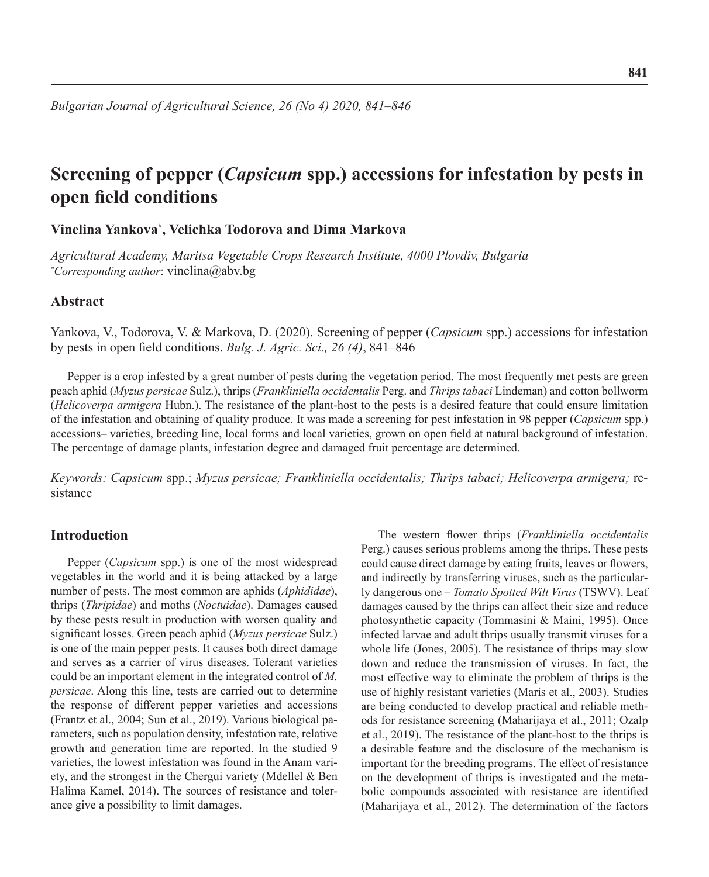# **Screening of pepper (***Capsicum* **spp.) accessions for infestation by pests in open field conditions**

# **Vinelina Yankova\* , Velichka Todorova and Dima Markova**

*Agricultural Academy, Maritsa Vegetable Crops Research Institute, 4000 Plovdiv, Bulgaria \* Corresponding author*: vinelina@abv.bg

### **Abstract**

Yankova, V., Todorova, V. & Markova, D. (2020). Screening of pepper (*Capsicum* spp.) accessions for infestation by pests in open field conditions. *Bulg. J. Agric. Sci., 26 (4)*, 841–846

Pepper is a crop infested by a great number of pests during the vegetation period. The most frequently met pests are green peach aphid (*Myzus persicae* Sulz.), thrips (*Frankliniella occidentalis* Perg. and *Thrips tabaci* Lindeman) and cotton bollworm (*Helicoverpa armigera* Hubn.). The resistance of the plant-host to the pests is a desired feature that could ensure limitation of the infestation and obtaining of quality produce. It was made a screening for pest infestation in 98 pepper (*Capsicum* spp.) accessions– varieties, breeding line, local forms and local varieties, grown on open field at natural background of infestation. The percentage of damage plants, infestation degree and damaged fruit percentage are determined.

*Keywords: Capsicum* spp.; *Myzus persicae; Frankliniella occidentalis; Thrips tabaci; Helicoverpa armigera;* resistance

# **Introduction**

Pepper (*Capsicum* spp.) is one of the most widespread vegetables in the world and it is being attacked by a large number of pests. The most common are aphids (*Aphididae*), thrips (*Thripidae*) and moths (*Noctuidae*). Damages caused by these pests result in production with worsen quality and significant losses. Green peach aphid (*Myzus persicae* Sulz.) is one of the main pepper pests. It causes both direct damage and serves as a carrier of virus diseases. Tolerant varieties could be an important element in the integrated control of *M. persicae*. Along this line, tests are carried out to determine the response of different pepper varieties and accessions (Frantz et al., 2004; Sun et al., 2019). Various biological parameters, such as population density, infestation rate, relative growth and generation time are reported. In the studied 9 varieties, the lowest infestation was found in the Anam variety, and the strongest in the Chergui variety (Mdellel & Ben Halima Kamel, 2014). The sources of resistance and tolerance give a possibility to limit damages.

The western flower thrips (*Frankliniella occidentalis* Perg.) causes serious problems among the thrips. These pests could cause direct damage by eating fruits, leaves or flowers, and indirectly by transferring viruses, such as the particularly dangerous one – *Tomato Spotted Wilt Virus* (TSWV). Leaf damages caused by the thrips can affect their size and reduce photosynthetic capacity (Tommasini & Maini, 1995). Once infected larvae and adult thrips usually transmit viruses for a whole life (Jones, 2005). The resistance of thrips may slow down and reduce the transmission of viruses. In fact, the most effective way to eliminate the problem of thrips is the use of highly resistant varieties (Maris et al., 2003). Studies are being conducted to develop practical and reliable methods for resistance screening (Maharijaya et al., 2011; Ozalp et al., 2019). The resistance of the plant-host to the thrips is a desirable feature and the disclosure of the mechanism is important for the breeding programs. The effect of resistance on the development of thrips is investigated and the metabolic compounds associated with resistance are identified (Maharijaya et al., 2012). The determination of the factors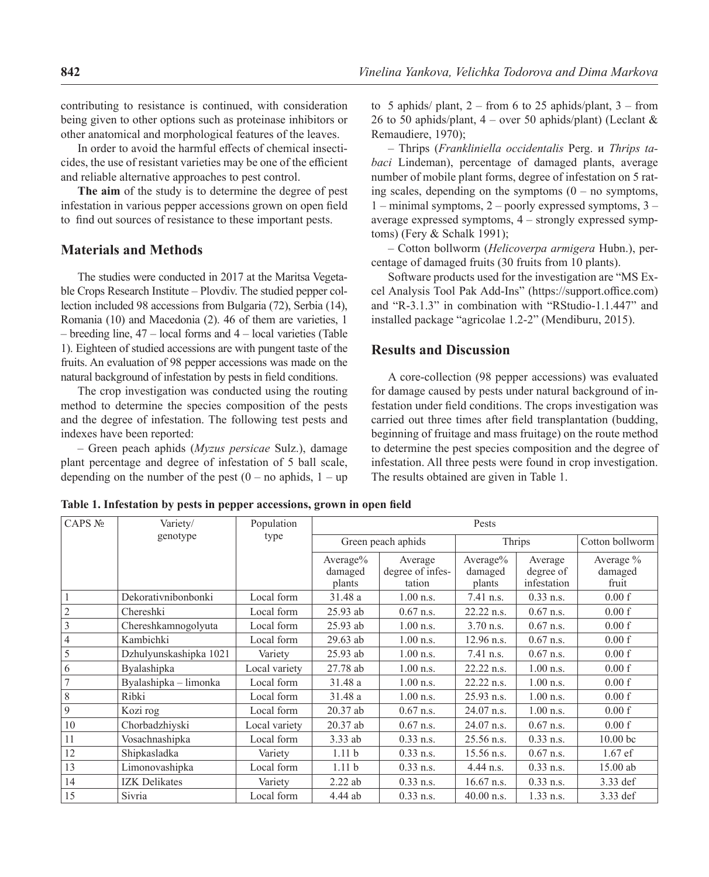contributing to resistance is continued, with consideration being given to other options such as proteinase inhibitors or other anatomical and morphological features of the leaves.

In order to avoid the harmful effects of chemical insecticides, the use of resistant varieties may be one of the efficient and reliable alternative approaches to pest control.

**The aim** of the study is to determine the degree of pest infestation in various pepper accessions grown on open field to find out sources of resistance to these important pests.

# **Materials and Methods**

The studies were conducted in 2017 at the Maritsa Vegetable Crops Research Institute – Plovdiv. The studied pepper collection included 98 accessions from Bulgaria (72), Serbia (14), Romania (10) and Macedonia (2). 46 of them are varieties, 1 – breeding line, 47 – local forms and 4 – local varieties (Table 1). Eighteen of studied accessions are with pungent taste of the fruits. An evaluation of 98 pepper accessions was made on the natural background of infestation by pests in field conditions.

The crop investigation was conducted using the routing method to determine the species composition of the pests and the degree of infestation. The following test pests and indexes have been reported:

– Green peach aphids (*Myzus persicae* Sulz.), damage plant percentage and degree of infestation of 5 ball scale, depending on the number of the pest  $(0 - no$  aphids,  $1 - up$  to 5 aphids/ plant,  $2 -$  from 6 to 25 aphids/plant,  $3 -$  from 26 to 50 aphids/plant,  $4$  – over 50 aphids/plant) (Leclant & Remaudiere, 1970);

– Thrips (*Frankliniella occidentalis* Perg. и *Thrips tabaci* Lindeman), percentage of damaged plants, average number of mobile plant forms, degree of infestation on 5 rating scales, depending on the symptoms  $(0 - no$  symptoms, 1 – minimal symptoms, 2 – poorly expressed symptoms, 3 – average expressed symptoms, 4 – strongly expressed symptoms) (Fery & Schalk 1991);

– Cotton bollworm (*Helicoverpa armigera* Hubn.), percentage of damaged fruits (30 fruits from 10 plants).

Software products used for the investigation are "MS Excel Analysis Tool Pak Add-Ins" (https://support.office.com) and "R-3.1.3" in combination with "RStudio-1.1.447" and installed package "agricolae 1.2-2" (Mendiburu, 2015).

### **Results and Discussion**

A core-collection (98 pepper accessions) was evaluated for damage caused by pests under natural background of infestation under field conditions. The crops investigation was carried out three times after field transplantation (budding, beginning of fruitage and mass fruitage) on the route method to determine the pest species composition and the degree of infestation. All three pests were found in crop investigation. The results obtained are given in Table 1.

| CAPS No        | Variety/               | Population    | Pests              |                  |              |             |                     |
|----------------|------------------------|---------------|--------------------|------------------|--------------|-------------|---------------------|
|                | genotype               | type          | Green peach aphids |                  | Thrips       |             | Cotton bollworm     |
|                |                        |               | Average $%$        | Average          | Average%     | Average     | Average $\%$        |
|                |                        |               | damaged            | degree of infes- | damaged      | degree of   | damaged             |
|                |                        |               | plants             | tation           | plants       | infestation | fruit               |
|                | Dekorativnibonbonki    | Local form    | 31.48 a            | $1.00$ n.s.      | $7.41$ n.s.  | $0.33$ n.s. | 0.00 f              |
| $\overline{2}$ | Chereshki              | Local form    | 25.93 ab           | $0.67$ n.s.      | 22.22 n.s.   | $0.67$ n.s. | 0.00 f              |
| 3              | Chereshkamnogolyuta    | Local form    | 25.93 ab           | $1.00$ n.s.      | $3.70$ n.s.  | $0.67$ n.s. | 0.00 f              |
| $\overline{4}$ | Kambichki              | Local form    | 29.63 ab           | $1.00$ n.s.      | $12.96$ n.s. | $0.67$ n.s. | 0.00 f              |
| 5              | Dzhulyunskashipka 1021 | Variety       | 25.93 ab           | $1.00$ n.s.      | 7.41 n.s.    | $0.67$ n.s. | 0.00 f              |
| 6              | Byalashipka            | Local variety | 27.78 ab           | $1.00$ n.s.      | 22.22 n.s.   | $1.00$ n.s. | 0.00 f              |
| $\overline{7}$ | Byalashipka - limonka  | Local form    | 31.48a             | $1.00$ n.s.      | 22.22 n.s.   | $1.00$ n.s. | 0.00 f              |
| 8              | Ribki                  | Local form    | 31.48 a            | $1.00$ n.s.      | 25.93 n.s.   | $1.00$ n.s. | 0.00 f              |
| 9              | Kozi rog               | Local form    | $20.37\;ab$        | $0.67$ n.s.      | $24.07$ n.s. | $1.00$ n.s. | 0.00 f              |
| 10             | Chorbadzhiyski         | Local variety | 20.37 ab           | $0.67$ n.s.      | 24.07 n.s.   | $0.67$ n.s. | 0.00 f              |
| 11             | Vosachnashipka         | Local form    | 3.33 ab            | $0.33$ n.s.      | 25.56 n.s.   | $0.33$ n.s. | 10.00 <sub>bc</sub> |
| 12             | Shipkasladka           | Variety       | 1.11 <sub>b</sub>  | $0.33$ n.s.      | 15.56 n.s.   | $0.67$ n.s. | $1.67$ ef           |
| 13             | Limonovashipka         | Local form    | 1.11 <sub>b</sub>  | $0.33$ n.s.      | 4.44 n.s.    | $0.33$ n.s. | 15.00 ab            |
| 14             | <b>IZK Delikates</b>   | Variety       | 2.22ab             | $0.33$ n.s.      | $16.67$ n.s. | $0.33$ n.s. | 3.33 def            |
| 15             | Sivria                 | Local form    | 4.44 ab            | $0.33$ n.s.      | $40.00$ n.s. | $1.33$ n.s. | 3.33 def            |

**Table 1. Infestation by pests in pepper accessions, grown in open field**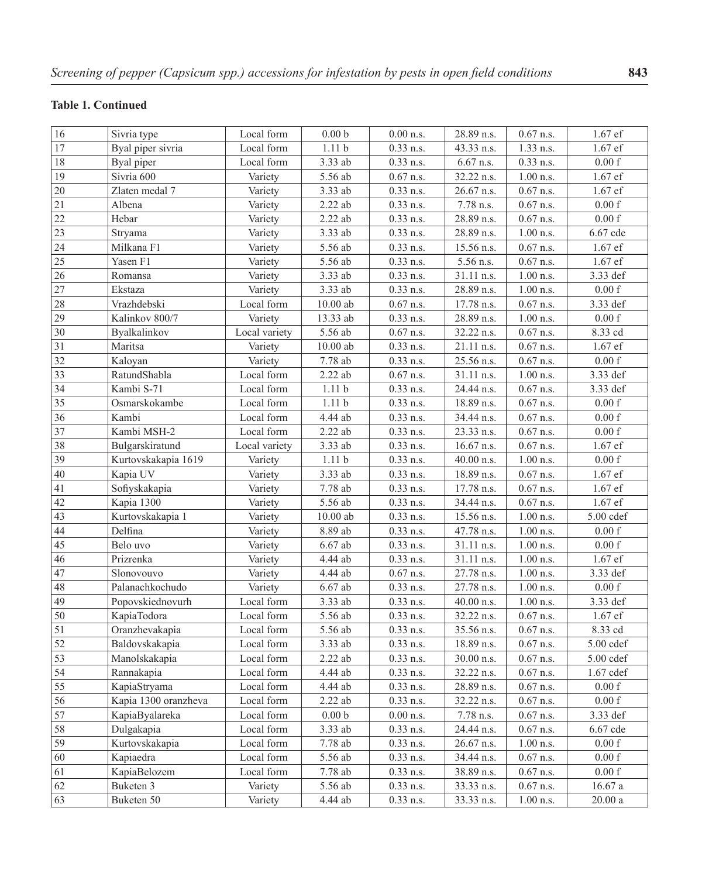# **Table 1. Continued**

| 16              | Sivria type          | Local form    | 0.00 <sub>b</sub>    | $0.00$ n.s.            | 28.89 n.s.   | $0.67$ n.s.            | 1.67 ef            |
|-----------------|----------------------|---------------|----------------------|------------------------|--------------|------------------------|--------------------|
| 17              | Byal piper sivria    | Local form    | 1.11 <sub>b</sub>    | $\overline{0.33}$ n.s. | 43.33 n.s.   | $\overline{1.33}$ n.s. | 1.67 ef            |
| 18              | Byal piper           | Local form    | 3.33 ab              | $0.33$ n.s.            | 6.67 n.s.    | $0.33$ n.s.            | 0.00 f             |
| 19              | Sivria 600           | Variety       | 5.56 ab              | $0.67$ n.s.            | 32.22 n.s.   | $1.00$ n.s.            | 1.67 ef            |
| 20              | Zlaten medal 7       | Variety       | 3.33 ab              | $0.33$ n.s.            | 26.67 n.s.   | $0.67$ n.s.            | 1.67 ef            |
| 21              | Albena               | Variety       | $2.22$ ab            | $0.33$ n.s.            | 7.78 n.s.    | $0.67$ n.s.            | $0.00\ {\rm f}$    |
| 22              | Hebar                | Variety       | $2.22$ ab            | $0.33$ n.s.            | 28.89 n.s.   | $0.67$ n.s.            | 0.00 f             |
| 23              | Stryama              | Variety       | $\overline{3.33}$ ab | $0.33$ n.s.            | 28.89 n.s.   | $1.00$ n.s.            | 6.67 cde           |
| 24              | Milkana F1           | Variety       | $5.56$ ab            | $0.33$ n.s.            | 15.56 n.s.   | $0.67$ n.s.            | $1.67$ ef          |
| 25              | Yasen F1             | Variety       | 5.56 ab              | $0.33$ n.s.            | 5.56 n.s.    | $0.67$ n.s.            | 1.67 ef            |
| $26\,$          | Romansa              | Variety       | 3.33 ab              | $0.33$ n.s.            | 31.11 n.s.   | $1.00$ n.s.            | 3.33 def           |
| 27              | Ekstaza              | Variety       | $3.33$ ab            | $0.33$ n.s.            | 28.89 n.s.   | $1.00$ n.s.            | 0.00 f             |
| 28              | Vrazhdebski          | Local form    | $10.00\ \mathrm{ab}$ | $0.67$ n.s.            | 17.78 n.s.   | $0.67$ n.s.            | 3.33 def           |
| 29              | Kalinkov 800/7       | Variety       | 13.33 ab             | $0.33$ n.s.            | 28.89 n.s.   | $1.00$ n.s.            | 0.00 f             |
| 30              | Byalkalinkov         | Local variety | 5.56 ab              | $0.67$ n.s.            | 32.22 n.s.   | $0.67$ n.s.            | 8.33 cd            |
| 31              | Maritsa              | Variety       | $10.00$ ab           | $0.33$ n.s.            | 21.11 n.s.   | $0.67$ n.s.            | $1.67$ ef          |
| 32              | Kaloyan              | Variety       | 7.78 ab              | $0.33$ n.s.            | 25.56 n.s.   | $0.67$ n.s.            | 0.00 f             |
| 33              | RatundShabla         | Local form    | $2.22$ ab            | $0.67$ n.s.            | 31.11 n.s.   | $1.00$ n.s.            | 3.33 def           |
| 34              | Kambi S-71           | Local form    | 1.11 <sub>b</sub>    | $0.33$ n.s.            | 24.44 n.s.   | $0.67$ n.s.            | 3.33 def           |
| 35              | Osmarskokambe        | Local form    | 1.11 <sub>b</sub>    | $0.33$ n.s.            | 18.89 n.s.   | $0.67$ n.s.            | 0.00 f             |
| 36              | Kambi                | Local form    | 4.44 ab              | $0.33$ n.s.            | 34.44 n.s.   | $0.67$ n.s.            | 0.00 f             |
| 37              | Kambi MSH-2          | Local form    | $2.22$ ab            | $0.33$ n.s.            | 23.33 n.s.   | $0.67$ n.s.            | 0.00 f             |
| 38              | Bulgarskiratund      | Local variety | 3.33 ab              | $0.33$ n.s.            | 16.67 n.s.   | $0.67$ n.s.            | 1.67 ef            |
| 39              | Kurtovskakapia 1619  | Variety       | 1.11 <sub>b</sub>    | $0.33$ n.s.            | 40.00 n.s.   | $1.00$ n.s.            | $0.00\ {\rm f}$    |
| 40              | Kapia UV             | Variety       | 3.33 ab              | $0.33$ n.s.            | 18.89 n.s.   | $0.67$ n.s.            | 1.67 ef            |
| 41              | Sofiyskakapia        | Variety       | 7.78 ab              | $0.33$ n.s.            | 17.78 n.s.   | $0.67$ n.s.            | 1.67 ef            |
| 42              | Kapia 1300           | Variety       | 5.56 ab              | $0.33$ n.s.            | 34.44 n.s.   | $0.67$ n.s.            | 1.67 ef            |
| 43              | Kurtovskakapia 1     | Variety       | $10.00\ \mathrm{ab}$ | $0.33$ n.s.            | 15.56 n.s.   | $1.00$ n.s.            | $5.00$ $cdef$      |
| $44$            | Delfina              | Variety       | 8.89 ab              | $0.33$ n.s.            | 47.78 n.s.   | $1.00$ n.s.            | $0.00\ {\rm f}$    |
| 45              | Belo uvo             | Variety       | $6.67$ ab            | $0.33$ n.s.            | 31.11 n.s.   | $1.00$ n.s.            | $0.00\ {\rm f}$    |
| 46              | Prizrenka            | Variety       | 4.44 ab              | $0.33$ n.s.            | 31.11 n.s.   | $1.00$ n.s.            | 1.67 ef            |
| 47              | Slonovouvo           | Variety       | 4.44 ab              | $0.67$ n.s.            | 27.78 n.s.   | $1.00$ n.s.            | 3.33 def           |
| 48              | Palanachkochudo      | Variety       | $6.67$ ab            | $0.33$ n.s.            | 27.78 n.s.   | $1.00$ n.s.            | $0.00\,\mathrm{f}$ |
| 49              | Popovskiednovurh     | Local form    | 3.33 ab              | $0.33$ n.s.            | 40.00 n.s.   | $1.00$ n.s.            | 3.33 def           |
| 50              | KapiaTodora          | Local form    | $5.56$ ab            | $0.33$ n.s.            | 32.22 n.s.   | $0.67$ n.s.            | $1.67$ ef          |
| 51              | Oranzhevakapia       | Local form    | 5.56 ab              | $0.33$ n.s.            | 35.56 n.s.   | $0.67$ n.s.            | 8.33 cd            |
| 52              | Baldovskakapia       | Local form    | 3.33 ab              | $0.33$ n.s.            | 18.89 n.s.   | $0.67$ n.s.            | $5.00$ $cdef$      |
| $\overline{53}$ | Manolskakapia        | Local form    | $2.22\;ab$           | $0.33$ n.s.            | $30.00$ n.s. | $0.67$ n.s.            | $5.00$ $cdef$      |
| 54              | Rannakapia           | Local form    | 4.44 ab              | $0.33$ n.s.            | 32.22 n.s.   | $0.67$ n.s.            | $1.67$ cdef        |
| 55              | KapiaStryama         | Local form    | 4.44 ab              | $0.33$ n.s.            | 28.89 n.s.   | $0.67$ n.s.            | $0.00\ {\rm f}$    |
| 56              | Kapia 1300 oranzheva | Local form    | $2.22$ ab            | $0.33$ n.s.            | 32.22 n.s.   | $0.67$ n.s.            | 0.00 f             |
| 57              | KapiaByalareka       | Local form    | $0.00\ \mathrm{b}$   | $0.00$ n.s.            | 7.78 n.s.    | $0.67$ n.s.            | 3.33 def           |
| 58              | Dulgakapia           | Local form    | $3.33$ ab            | $0.33$ n.s.            | 24.44 n.s.   | $0.67$ n.s.            | 6.67 cde           |
| 59              | Kurtovskakapia       | Local form    | 7.78ab               | $0.33$ n.s.            | 26.67 n.s.   | $1.00$ n.s.            | $0.00\,\mathrm{f}$ |
| 60              | Kapiaedra            | Local form    | 5.56 ab              | $0.33$ n.s.            | 34.44 n.s.   | $0.67$ n.s.            | 0.00 f             |
| 61              | KapiaBelozem         | Local form    | $7.78\ \mathrm{ab}$  | $0.33$ n.s.            | 38.89 n.s.   | $0.67$ n.s.            | 0.00 f             |
| 62              | Buketen 3            | Variety       | 5.56 ab              | $0.33$ n.s.            | 33.33 n.s.   | $0.67$ n.s.            | $16.67\ a$         |
| 63              | Buketen 50           | Variety       | 4.44 ab              | $0.33$ n.s.            | 33.33 n.s.   | $1.00$ n.s.            | $20.00\ \rm{a}$    |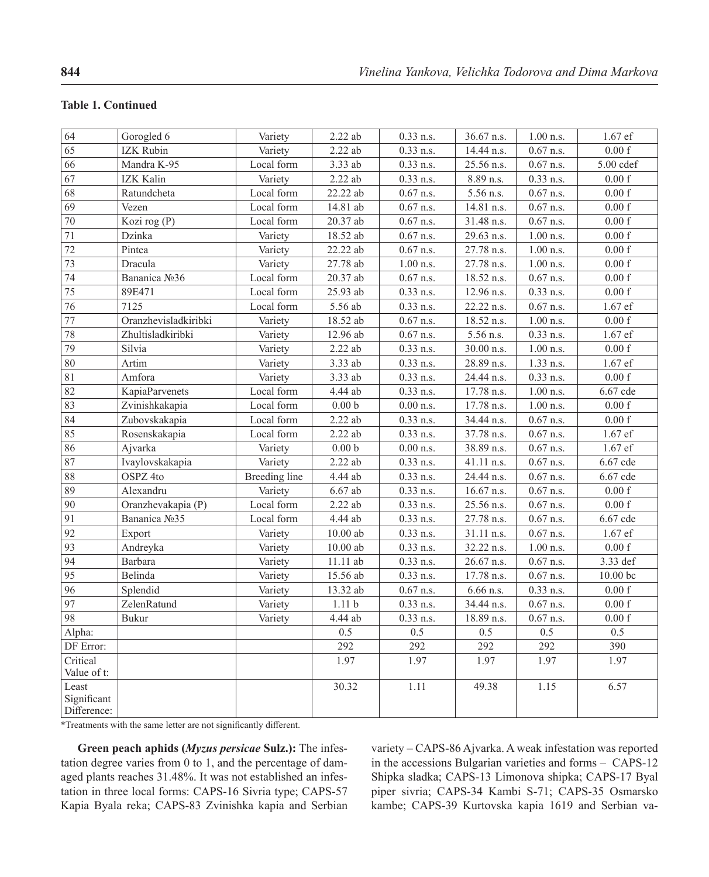#### **Table 1. Continued**

| 64                                  | Gorogled 6                | Variety       | $2.22$ ab          | $0.33$ n.s. | 36.67 n.s. | $1.00$ n.s. | 1.67 ef            |
|-------------------------------------|---------------------------|---------------|--------------------|-------------|------------|-------------|--------------------|
| 65                                  | <b>IZK Rubin</b>          | Variety       | $2.22$ ab          | $0.33$ n.s. | 14.44 n.s. | $0.67$ n.s. | 0.00 f             |
| 66                                  | Mandra K-95               | Local form    | $3.33\;ab$         | $0.33$ n.s. | 25.56 n.s. | $0.67$ n.s. | 5.00 cdef          |
| 67                                  | IZK Kalin                 | Variety       | $2.22$ ab          | $0.33$ n.s. | 8.89 n.s.  | $0.33$ n.s. | 0.00 f             |
| 68                                  | Ratundcheta               | Local form    | 22.22ab            | $0.67$ n.s. | 5.56 n.s.  | $0.67$ n.s. | 0.00 f             |
| 69                                  | Vezen                     | Local form    | 14.81 ab           | $0.67$ n.s. | 14.81 n.s. | $0.67$ n.s. | 0.00 f             |
| 70                                  | Kozi rog (P)              | Local form    | $20.37\;ab$        | $0.67$ n.s. | 31.48 n.s. | $0.67$ n.s. | $0.00\ {\rm f}$    |
| $\overline{71}$                     | Dzinka                    | Variety       | $18.52\;ab$        | $0.67$ n.s. | 29.63 n.s. | $1.00$ n.s. | 0.00 f             |
| 72                                  | Pintea                    | Variety       | 22.22ab            | $0.67$ n.s. | 27.78 n.s. | $1.00$ n.s. | 0.00 f             |
| 73                                  | Dracula                   | Variety       | 27.78 ab           | $1.00$ n.s. | 27.78 n.s. | $1.00$ n.s. | 0.00 f             |
| 74                                  | Bananica No <sub>26</sub> | Local form    | $20.37$ ab         | $0.67$ n.s. | 18.52 n.s. | $0.67$ n.s. | 0.00 f             |
| $\overline{75}$                     | 89E471                    | Local form    | 25.93 ab           | $0.33$ n.s. | 12.96 n.s. | $0.33$ n.s. | $0.00\ {\rm f}$    |
| $\overline{76}$                     | 7125                      | Local form    | 5.56 ab            | $0.33$ n.s. | 22.22 n.s. | $0.67$ n.s. | $1.67$ ef          |
| 77                                  | Oranzhevisladkiribki      | Variety       | 18.52 ab           | $0.67$ n.s. | 18.52 n.s. | $1.00$ n.s. | 0.00 f             |
| 78                                  | Zhultisladkiribki         | Variety       | 12.96 ab           | $0.67$ n.s. | 5.56 n.s.  | $0.33$ n.s. | 1.67 ef            |
| 79                                  | Silvia                    | Variety       | $2.22\;ab$         | $0.33$ n.s. | 30.00 n.s. | $1.00$ n.s. | 0.00 f             |
| 80                                  | Artim                     | Variety       | $3.33$ ab          | $0.33$ n.s. | 28.89 n.s. | 1.33 n.s.   | $1.67$ ef          |
| 81                                  | Amfora                    | Variety       | 3.33 ab            | $0.33$ n.s. | 24.44 n.s. | $0.33$ n.s. | 0.00 f             |
| 82                                  | KapiaParvenets            | Local form    | 4.44 ab            | $0.33$ n.s. | 17.78 n.s. | $1.00$ n.s. | 6.67 cde           |
| $\overline{83}$                     | Zvinishkakapia            | Local form    | $0.00\ \mathrm{b}$ | $0.00$ n.s. | 17.78 n.s. | $1.00$ n.s. | 0.00 f             |
| 84                                  | Zubovskakapia             | Local form    | $2.22$ ab          | $0.33$ n.s. | 34.44 n.s. | $0.67$ n.s. | $0.00\ {\rm f}$    |
| 85                                  | Rosenskakapia             | Local form    | $2.22$ ab          | $0.33$ n.s. | 37.78 n.s. | $0.67$ n.s. | 1.67 ef            |
| 86                                  | Ajvarka                   | Variety       | 0.00 <sub>b</sub>  | $0.00$ n.s. | 38.89 n.s. | $0.67$ n.s. | $1.67$ ef          |
| 87                                  | Ivaylovskakapia           | Variety       | $2.22$ ab          | $0.33$ n.s. | 41.11 n.s. | $0.67$ n.s. | 6.67 cde           |
| 88                                  | OSPZ <sub>4to</sub>       | Breeding line | 4.44 ab            | $0.33$ n.s. | 24.44 n.s. | $0.67$ n.s. | 6.67 cde           |
| 89                                  | Alexandru                 | Variety       | $6.67$ ab          | $0.33$ n.s. | 16.67 n.s. | $0.67$ n.s. | $0.00\ {\rm f}$    |
| $\overline{90}$                     | Oranzhevakapia (P)        | Local form    | $2.22$ ab          | $0.33$ n.s. | 25.56 n.s. | $0.67$ n.s. | 0.00 f             |
| 91                                  | Bananica No <sub>25</sub> | Local form    | 4.44 ab            | $0.33$ n.s. | 27.78 n.s. | $0.67$ n.s. | 6.67 cde           |
| 92                                  | Export                    | Variety       | $10.00$ ab         | $0.33$ n.s. | 31.11 n.s. | $0.67$ n.s. | 1.67 ef            |
| $\overline{93}$                     | Andreyka                  | Variety       | $10.00$ ab         | $0.33$ n.s. | 32.22 n.s. | $1.00$ n.s. | 0.00 f             |
| 94                                  | Barbara                   | Variety       | $11.11$ ab         | $0.33$ n.s. | 26.67 n.s. | $0.67$ n.s. | 3.33 def           |
| 95                                  | Belinda                   | Variety       | 15.56 ab           | $0.33$ n.s. | 17.78 n.s. | $0.67$ n.s. | $10.00$ bc         |
| 96                                  | Splendid                  | Variety       | 13.32 ab           | $0.67$ n.s. | 6.66 n.s.  | $0.33$ n.s. | 0.00 f             |
| 97                                  | ZelenRatund               | Variety       | 1.11 <sub>b</sub>  | $0.33$ n.s. | 34.44 n.s. | $0.67$ n.s. | 0.00 f             |
| 98                                  | Bukur                     | Variety       | 4.44 ab            | $0.33$ n.s. | 18.89 n.s. | $0.67$ n.s. | $0.00\,\mathrm{f}$ |
| Alpha:                              |                           |               | 0.5                | 0.5         | 0.5        | 0.5         | 0.5                |
| DF Error:                           |                           |               | 292                | 292         | 292        | 292         | 390                |
| Critical<br>Value of t:             |                           |               | 1.97               | 1.97        | 1.97       | 1.97        | 1.97               |
| Least<br>Significant<br>Difference: |                           |               | 30.32              | 1.11        | 49.38      | 1.15        | 6.57               |

\*Treatments with the same letter are not significantly different.

**Green peach aphids (***Myzus persicae* **Sulz.):** The infestation degree varies from 0 to 1, and the percentage of damaged plants reaches 31.48%. It was not established an infestation in three local forms: CAPS-16 Sivria type; CAPS-57 Kapia Byala reka; CAPS-83 Zvinishka kapia and Serbian variety – CAPS-86 Ajvarka. A weak infestation was reported in the accessions Bulgarian varieties and forms – CAPS-12 Shipka sladka; CAPS-13 Limonova shipka; CAPS-17 Byal piper sivria; CAPS-34 Kambi S-71; CAPS-35 Osmarsko kambe; CAPS-39 Kurtovska kapia 1619 and Serbian va-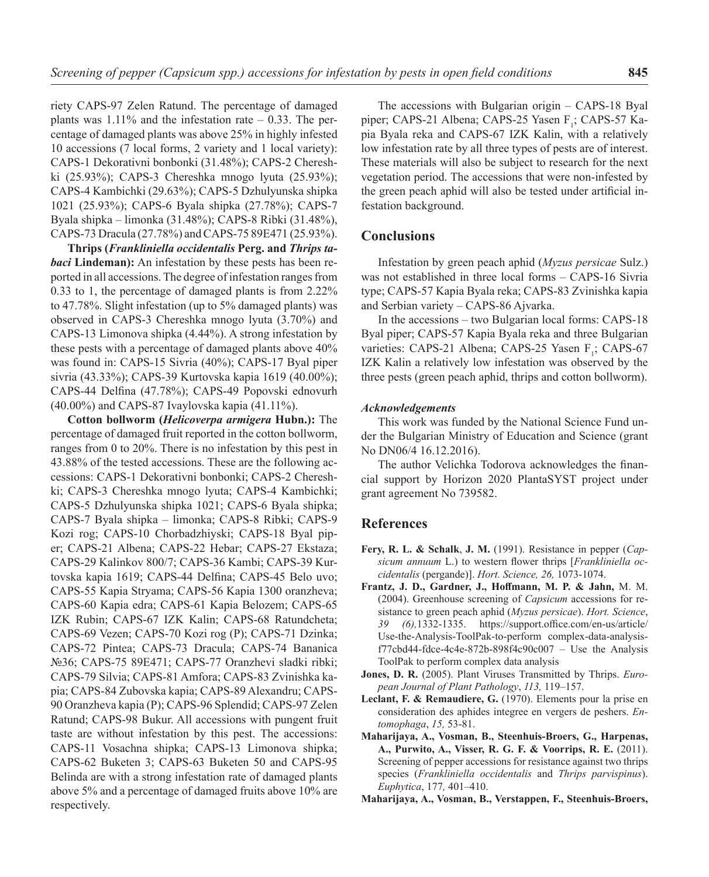riety CAPS-97 Zelen Ratund. The percentage of damaged plants was  $1.11\%$  and the infestation rate  $-0.33$ . The percentage of damaged plants was above 25% in highly infested 10 accessions (7 local forms, 2 variety and 1 local variety): CAPS-1 Dekorativni bonbonki (31.48%); CAPS-2 Chereshki (25.93%); CAPS-3 Chereshka mnogo lyuta (25.93%); CAPS-4 Kambichki (29.63%); CAPS-5 Dzhulyunska shipka 1021 (25.93%); CAPS-6 Byala shipka (27.78%); CAPS-7 Byala shipka – limonka (31.48%); CAPS-8 Ribki (31.48%), CAPS-73 Dracula (27.78%) and CAPS-75 89E471 (25.93%).

**Thrips (***Frankliniella occidentalis* **Perg. and** *Thrips tabaci* **Lindeman):** An infestation by these pests has been reported in all accessions. The degree of infestation ranges from 0.33 to 1, the percentage of damaged plants is from 2.22% to 47.78%. Slight infestation (up to 5% damaged plants) was observed in CAPS-3 Chereshka mnogo lyuta (3.70%) and CAPS-13 Limonova shipka (4.44%). A strong infestation by these pests with a percentage of damaged plants above 40% was found in: CAPS-15 Sivria (40%); CAPS-17 Byal piper sivria (43.33%); CAPS-39 Kurtovska kapia 1619 (40.00%); CAPS-44 Delfina (47.78%); CAPS-49 Popovski ednovurh (40.00%) and CAPS-87 Ivaylovska kapia (41.11%).

**Cotton bollworm (***Helicoverpa armigera* **Hubn.):** The percentage of damaged fruit reported in the cotton bollworm, ranges from 0 to 20%. There is no infestation by this pest in 43.88% of the tested accessions. These are the following accessions: CAPS-1 Dekorativni bonbonki; CAPS-2 Chereshki; CAPS-3 Chereshka mnogo lyuta; CAPS-4 Kambichki; CAPS-5 Dzhulyunska shipka 1021; CAPS-6 Byala shipka; CAPS-7 Byala shipka – limonka; CAPS-8 Ribki; CAPS-9 Kozi rog; CAPS-10 Chorbadzhiyski; CAPS-18 Byal piper; CAPS-21 Albena; CAPS-22 Hebar; CAPS-27 Ekstaza; CAPS-29 Kalinkov 800/7; CAPS-36 Kambi; CAPS-39 Kurtovska kapia 1619; CAPS-44 Delfina; CAPS-45 Belo uvo; CAPS-55 Kapia Stryama; CAPS-56 Kapia 1300 oranzheva; CAPS-60 Kapia edra; CAPS-61 Kapia Belozem; CAPS-65 IZK Rubin; CAPS-67 IZK Kalin; CAPS-68 Ratundcheta; CAPS-69 Vezen; CAPS-70 Kozi rog (P); CAPS-71 Dzinka; CAPS-72 Pintea; CAPS-73 Dracula; CAPS-74 Bananica №36; CAPS-75 89E471; CAPS-77 Oranzhevi sladki ribki; CAPS-79 Silvia; CAPS-81 Amfora; CAPS-83 Zvinishka kapia; CAPS-84 Zubovska kapia; CAPS-89 Alexandru; CAPS-90 Oranzheva kapia (P); CAPS-96 Splendid; CAPS-97 Zelen Ratund; CAPS-98 Bukur. All accessions with pungent fruit taste are without infestation by this pest. The accessions: CAPS-11 Vosachna shipka; CAPS-13 Limonova shipka; CAPS-62 Buketen 3; CAPS-63 Buketen 50 and CAPS-95 Belinda are with a strong infestation rate of damaged plants above 5% and a percentage of damaged fruits above 10% are respectively.

The accessions with Bulgarian origin – CAPS-18 Byal piper; CAPS-21 Albena; CAPS-25 Yasen  $F_i$ ; CAPS-57 Kapia Byala reka and CAPS-67 IZK Kalin, with a relatively low infestation rate by all three types of pests are of interest. These materials will also be subject to research for the next vegetation period. The accessions that were non-infested by the green peach aphid will also be tested under artificial infestation background.

### **Conclusions**

Infestation by green peach aphid (*Myzus persicae* Sulz.) was not established in three local forms – CAPS-16 Sivria type; CAPS-57 Kapia Byala reka; CAPS-83 Zvinishka kapia and Serbian variety – CAPS-86 Ajvarka.

In the accessions – two Bulgarian local forms: CAPS-18 Byal piper; CAPS-57 Kapia Byala reka and three Bulgarian varieties: CAPS-21 Albena; CAPS-25 Yasen F<sub>1</sub>; CAPS-67 IZK Kalin a relatively low infestation was observed by the three pests (green peach aphid, thrips and cotton bollworm).

### *Acknowledgements*

This work was funded by the National Science Fund under the Bulgarian Ministry of Education and Science (grant No DN06/4 16.12.2016).

The author Velichka Todorova acknowledges the financial support by Horizon 2020 PlantaSYST project under grant agreement No 739582.

# **References**

- **Fery, R. L. & Schalk**, **J. M.** (1991). Resistance in pepper (*Capsicum annuum* L.) to western flower thrips [*Frankliniella occidentalis* (pergande)]. *Hort. Science, 26,* 1073-1074.
- **Frantz, J. D., Gardner, J., Hoffmann, M. P. & Jahn,** M. M. (2004). Greenhouse screening of *Capsicum* accessions for resistance to green peach aphid (*Myzus persicae*). *Hort. Science*, *39 (6),*1332-1335. https://support.office.com/en-us/article/ Use-the-Analysis-ToolPak-to-perform complex-data-analysis $f77cbd44-fdce-4c4e-872b-898f4c90c007$  – Use the Analysis ToolPak to perform complex data analysis
- **Jones, D. R.** (2005). Plant Viruses Transmitted by Thrips. *European Journal of Plant Pathology*, *113,* 119–157.
- **Leclant, F. & Remaudiere, G.** (1970). Elements pour la prise en consideration des aphides integree en vergers de peshers. *Entomophaga*, *15,* 53-81.
- **Maharijaya, A., Vosman, B., Steenhuis-Broers, G., Harpenas, A., Purwito, A., Visser, R. G. F. & Voorrips, R. E.** (2011). Screening of pepper accessions for resistance against two thrips species (*Frankliniella occidentalis* and *Thrips parvispinus*). *Euphytica*, 177*,* 401–410.
- **Maharijaya, A., Vosman, B., Verstappen, F., Steenhuis-Broers,**